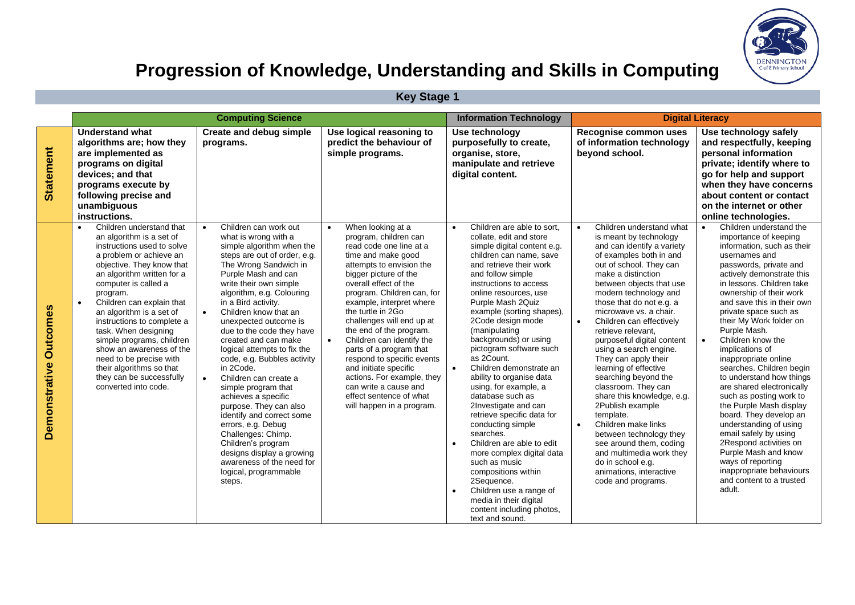

## **Progression of Knowledge, Understanding and Skills in Computing**

|  | <b>Key Stage 1</b> |  |
|--|--------------------|--|
|--|--------------------|--|

|                                  |                                                                                                                                                                                                                                                                                                                                                                                                                                                                                                              | <b>Computing Science</b>                                                                                                                                                                                                                                                                                                                                                                                                                                                                                                                                                                                                                                                                                                |                                                                                                                                                                                                                                                                                                                                                                                                                                                                                                                                                             | <b>Information Technology</b>                                                                                                                                                                                                                                                                                                                                                                                                                                                                                                                                                                                                                                                                                                                                                                                                        | <b>Digital Literacy</b>                                                                                                                                                                                                                                                                                                                                                                                                                                                                                                                                                                                                                                                                                                                                   |                                                                                                                                                                                                                                                                                                                                                                                                                                                                                                                                                                                                                                                                                                                                                   |  |
|----------------------------------|--------------------------------------------------------------------------------------------------------------------------------------------------------------------------------------------------------------------------------------------------------------------------------------------------------------------------------------------------------------------------------------------------------------------------------------------------------------------------------------------------------------|-------------------------------------------------------------------------------------------------------------------------------------------------------------------------------------------------------------------------------------------------------------------------------------------------------------------------------------------------------------------------------------------------------------------------------------------------------------------------------------------------------------------------------------------------------------------------------------------------------------------------------------------------------------------------------------------------------------------------|-------------------------------------------------------------------------------------------------------------------------------------------------------------------------------------------------------------------------------------------------------------------------------------------------------------------------------------------------------------------------------------------------------------------------------------------------------------------------------------------------------------------------------------------------------------|--------------------------------------------------------------------------------------------------------------------------------------------------------------------------------------------------------------------------------------------------------------------------------------------------------------------------------------------------------------------------------------------------------------------------------------------------------------------------------------------------------------------------------------------------------------------------------------------------------------------------------------------------------------------------------------------------------------------------------------------------------------------------------------------------------------------------------------|-----------------------------------------------------------------------------------------------------------------------------------------------------------------------------------------------------------------------------------------------------------------------------------------------------------------------------------------------------------------------------------------------------------------------------------------------------------------------------------------------------------------------------------------------------------------------------------------------------------------------------------------------------------------------------------------------------------------------------------------------------------|---------------------------------------------------------------------------------------------------------------------------------------------------------------------------------------------------------------------------------------------------------------------------------------------------------------------------------------------------------------------------------------------------------------------------------------------------------------------------------------------------------------------------------------------------------------------------------------------------------------------------------------------------------------------------------------------------------------------------------------------------|--|
| <b>Statement</b>                 | <b>Understand what</b><br>algorithms are; how they<br>are implemented as<br>programs on digital<br>devices; and that<br>programs execute by<br>following precise and<br>unambiguous<br>instructions.                                                                                                                                                                                                                                                                                                         | <b>Create and debug simple</b><br>programs.                                                                                                                                                                                                                                                                                                                                                                                                                                                                                                                                                                                                                                                                             | Use logical reasoning to<br>predict the behaviour of<br>simple programs.                                                                                                                                                                                                                                                                                                                                                                                                                                                                                    | Use technology<br>purposefully to create,<br>organise, store,<br>manipulate and retrieve<br>digital content.                                                                                                                                                                                                                                                                                                                                                                                                                                                                                                                                                                                                                                                                                                                         | Recognise common uses<br>of information technology<br>beyond school.                                                                                                                                                                                                                                                                                                                                                                                                                                                                                                                                                                                                                                                                                      | Use technology safely<br>and respectfully, keeping<br>personal information<br>private; identify where to<br>go for help and support<br>when they have concerns<br>about content or contact<br>on the internet or other<br>online technologies.                                                                                                                                                                                                                                                                                                                                                                                                                                                                                                    |  |
| <b>Outcomes</b><br>Demonstrative | Children understand that<br>an algorithm is a set of<br>instructions used to solve<br>a problem or achieve an<br>objective. They know that<br>an algorithm written for a<br>computer is called a<br>program.<br>Children can explain that<br>$\bullet$<br>an algorithm is a set of<br>instructions to complete a<br>task. When designing<br>simple programs, children<br>show an awareness of the<br>need to be precise with<br>their algorithms so that<br>they can be successfully<br>converted into code. | Children can work out<br>what is wrong with a<br>simple algorithm when the<br>steps are out of order, e.g.<br>The Wrong Sandwich in<br>Purple Mash and can<br>write their own simple<br>algorithm, e.g. Colouring<br>in a Bird activity.<br>Children know that an<br>unexpected outcome is<br>due to the code they have<br>created and can make<br>logical attempts to fix the<br>code, e.g. Bubbles activity<br>in 2Code.<br>Children can create a<br>simple program that<br>achieves a specific<br>purpose. They can also<br>identify and correct some<br>errors, e.g. Debug<br>Challenges: Chimp.<br>Children's program<br>designs display a growing<br>awareness of the need for<br>logical, programmable<br>steps. | When looking at a<br>$\bullet$<br>program, children can<br>read code one line at a<br>time and make good<br>attempts to envision the<br>bigger picture of the<br>overall effect of the<br>program. Children can, for<br>example, interpret where<br>the turtle in 2Go<br>challenges will end up at<br>the end of the program.<br>Children can identify the<br>parts of a program that<br>respond to specific events<br>and initiate specific<br>actions. For example, they<br>can write a cause and<br>effect sentence of what<br>will happen in a program. | Children are able to sort.<br>$\bullet$<br>collate, edit and store<br>simple digital content e.g.<br>children can name, save<br>and retrieve their work<br>and follow simple<br>instructions to access<br>online resources, use<br>Purple Mash 2Quiz<br>example (sorting shapes),<br>2Code design mode<br>(manipulating<br>backgrounds) or using<br>pictogram software such<br>as 2Count.<br>Children demonstrate an<br>$\bullet$<br>ability to organise data<br>using, for example, a<br>database such as<br>2Investigate and can<br>retrieve specific data for<br>conducting simple<br>searches.<br>Children are able to edit<br>more complex digital data<br>such as music<br>compositions within<br>2Sequence.<br>Children use a range of<br>$\bullet$<br>media in their digital<br>content including photos,<br>text and sound. | Children understand what<br>is meant by technology<br>and can identify a variety<br>of examples both in and<br>out of school. They can<br>make a distinction<br>between objects that use<br>modern technology and<br>those that do not e.g. a<br>microwave vs. a chair.<br>Children can effectively<br>$\bullet$<br>retrieve relevant.<br>purposeful digital content<br>using a search engine.<br>They can apply their<br>learning of effective<br>searching beyond the<br>classroom. They can<br>share this knowledge, e.g.<br>2Publish example<br>template.<br>Children make links<br>$\bullet$<br>between technology they<br>see around them, coding<br>and multimedia work they<br>do in school e.g.<br>animations, interactive<br>code and programs. | Children understand the<br>importance of keeping<br>information, such as their<br>usernames and<br>passwords, private and<br>actively demonstrate this<br>in lessons. Children take<br>ownership of their work<br>and save this in their own<br>private space such as<br>their My Work folder on<br>Purple Mash.<br>Children know the<br>implications of<br>inappropriate online<br>searches. Children begin<br>to understand how things<br>are shared electronically<br>such as posting work to<br>the Purple Mash display<br>board. They develop an<br>understanding of using<br>email safely by using<br>2Respond activities on<br>Purple Mash and know<br>ways of reporting<br>inappropriate behaviours<br>and content to a trusted<br>adult. |  |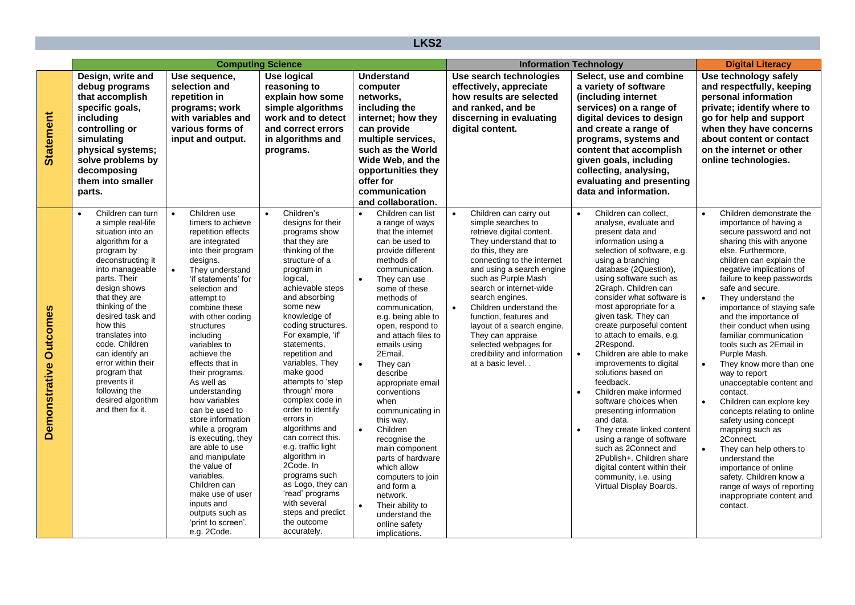| LKS <sub>2</sub>                 |                                                                                                                                                                                                                                                                                                                                                                                                                               |                                                                                                                                                                                                                                                                                                                                                                                                                                                                                                                                                                                                                                                                   |                                                                                                                                                                                                                                                                                                                                                                                                                                                                                                                                                                                                                                             |                                                  |                                                                                                                                                                                                                                                                                                                                                                                                                                                                                                                                                                                                              |           |                                                                                                                                                                                                                                                                                                                                                                                                                                               |                        |                                                                                                                                                                                                                                                                                                                                                                                                                                                                                                                                                                                                                                                                                                                                                                         |           |                                                                                                                                                                                                                                                                                                                                                                                                                                                                                                                                                                                                                                                                                                                                                                                                       |
|----------------------------------|-------------------------------------------------------------------------------------------------------------------------------------------------------------------------------------------------------------------------------------------------------------------------------------------------------------------------------------------------------------------------------------------------------------------------------|-------------------------------------------------------------------------------------------------------------------------------------------------------------------------------------------------------------------------------------------------------------------------------------------------------------------------------------------------------------------------------------------------------------------------------------------------------------------------------------------------------------------------------------------------------------------------------------------------------------------------------------------------------------------|---------------------------------------------------------------------------------------------------------------------------------------------------------------------------------------------------------------------------------------------------------------------------------------------------------------------------------------------------------------------------------------------------------------------------------------------------------------------------------------------------------------------------------------------------------------------------------------------------------------------------------------------|--------------------------------------------------|--------------------------------------------------------------------------------------------------------------------------------------------------------------------------------------------------------------------------------------------------------------------------------------------------------------------------------------------------------------------------------------------------------------------------------------------------------------------------------------------------------------------------------------------------------------------------------------------------------------|-----------|-----------------------------------------------------------------------------------------------------------------------------------------------------------------------------------------------------------------------------------------------------------------------------------------------------------------------------------------------------------------------------------------------------------------------------------------------|------------------------|-------------------------------------------------------------------------------------------------------------------------------------------------------------------------------------------------------------------------------------------------------------------------------------------------------------------------------------------------------------------------------------------------------------------------------------------------------------------------------------------------------------------------------------------------------------------------------------------------------------------------------------------------------------------------------------------------------------------------------------------------------------------------|-----------|-------------------------------------------------------------------------------------------------------------------------------------------------------------------------------------------------------------------------------------------------------------------------------------------------------------------------------------------------------------------------------------------------------------------------------------------------------------------------------------------------------------------------------------------------------------------------------------------------------------------------------------------------------------------------------------------------------------------------------------------------------------------------------------------------------|
|                                  | <b>Computing Science</b>                                                                                                                                                                                                                                                                                                                                                                                                      |                                                                                                                                                                                                                                                                                                                                                                                                                                                                                                                                                                                                                                                                   |                                                                                                                                                                                                                                                                                                                                                                                                                                                                                                                                                                                                                                             |                                                  | <b>Information Technology</b>                                                                                                                                                                                                                                                                                                                                                                                                                                                                                                                                                                                |           |                                                                                                                                                                                                                                                                                                                                                                                                                                               |                        | <b>Digital Literacy</b>                                                                                                                                                                                                                                                                                                                                                                                                                                                                                                                                                                                                                                                                                                                                                 |           |                                                                                                                                                                                                                                                                                                                                                                                                                                                                                                                                                                                                                                                                                                                                                                                                       |
| <b>Statement</b>                 | Design, write and<br>debug programs<br>that accomplish<br>specific goals,<br>including<br>controlling or<br>simulating<br>physical systems;<br>solve problems by<br>decomposing<br>them into smaller<br>parts.                                                                                                                                                                                                                | Use sequence,<br>selection and<br>repetition in<br>programs; work<br>with variables and<br>various forms of<br>input and output.                                                                                                                                                                                                                                                                                                                                                                                                                                                                                                                                  | <b>Use logical</b><br>reasoning to<br>explain how some<br>simple algorithms<br>work and to detect<br>and correct errors<br>in algorithms and<br>programs.                                                                                                                                                                                                                                                                                                                                                                                                                                                                                   |                                                  | <b>Understand</b><br>computer<br>networks,<br>including the<br>internet; how they<br>can provide<br>multiple services,<br>such as the World<br>Wide Web, and the<br>opportunities they<br>offer for<br>communication<br>and collaboration.                                                                                                                                                                                                                                                                                                                                                                   |           | Use search technologies<br>effectively, appreciate<br>how results are selected<br>and ranked, and be<br>discerning in evaluating<br>digital content.                                                                                                                                                                                                                                                                                          |                        | Select, use and combine<br>a variety of software<br>(including internet<br>services) on a range of<br>digital devices to design<br>and create a range of<br>programs, systems and<br>content that accomplish<br>given goals, including<br>collecting, analysing,<br>evaluating and presenting<br>data and information.                                                                                                                                                                                                                                                                                                                                                                                                                                                  |           | Use technology safely<br>and respectfully, keeping<br>personal information<br>private; identify where to<br>go for help and support<br>when they have concerns<br>about content or contact<br>on the internet or other<br>online technologies.                                                                                                                                                                                                                                                                                                                                                                                                                                                                                                                                                        |
| <b>Outcomes</b><br>Demonstrative | Children can turn<br>$\bullet$<br>a simple real-life<br>situation into an<br>algorithm for a<br>program by<br>deconstructing it<br>into manageable<br>parts. Their<br>design shows<br>that they are<br>thinking of the<br>desired task and<br>how this<br>translates into<br>code. Children<br>can identify an<br>error within their<br>program that<br>prevents it<br>following the<br>desired algorithm<br>and then fix it. | Children use<br>$\bullet$<br>timers to achieve<br>repetition effects<br>are integrated<br>into their program<br>designs.<br>$\bullet$<br>They understand<br>'if statements' for<br>selection and<br>attempt to<br>combine these<br>with other coding<br>structures<br>including<br>variables to<br>achieve the<br>effects that in<br>their programs.<br>As well as<br>understanding<br>how variables<br>can be used to<br>store information<br>while a program<br>is executing, they<br>are able to use<br>and manipulate<br>the value of<br>variables.<br>Children can<br>make use of user<br>inputs and<br>outputs such as<br>'print to screen'.<br>e.g. 2Code. | Children's<br>$\bullet$<br>designs for their<br>programs show<br>that they are<br>thinking of the<br>structure of a<br>program in<br>logical,<br>achievable steps<br>and absorbing<br>some new<br>knowledge of<br>coding structures.<br>For example, 'if'<br>statements,<br>repetition and<br>variables. They<br>make good<br>attempts to 'step<br>through' more<br>complex code in<br>order to identify<br>errors in<br>algorithms and<br>can correct this.<br>e.g. traffic light<br>algorithm in<br>2Code. In<br>programs such<br>as Logo, they can<br>'read' programs<br>with several<br>steps and predict<br>the outcome<br>accurately. | $\bullet$<br>$\bullet$<br>$\bullet$<br>$\bullet$ | Children can list<br>a range of ways<br>that the internet<br>can be used to<br>provide different<br>methods of<br>communication.<br>They can use<br>some of these<br>methods of<br>communication,<br>e.g. being able to<br>open, respond to<br>and attach files to<br>emails using<br>2Email.<br>They can<br>describe<br>appropriate email<br>conventions<br>when<br>communicating in<br>this way.<br>Children<br>recognise the<br>main component<br>parts of hardware<br>which allow<br>computers to join<br>and form a<br>network.<br>Their ability to<br>understand the<br>online safety<br>implications. | $\bullet$ | Children can carry out<br>simple searches to<br>retrieve digital content.<br>They understand that to<br>do this, they are<br>connecting to the internet<br>and using a search engine<br>such as Purple Mash<br>search or internet-wide<br>search engines.<br>Children understand the<br>function, features and<br>layout of a search engine.<br>They can appraise<br>selected webpages for<br>credibility and information<br>at a basic level | $\bullet$<br>$\bullet$ | Children can collect.<br>analyse, evaluate and<br>present data and<br>information using a<br>selection of software, e.g.<br>using a branching<br>database (2Question),<br>using software such as<br>2Graph. Children can<br>consider what software is<br>most appropriate for a<br>given task. They can<br>create purposeful content<br>to attach to emails, e.g.<br>2Respond.<br>Children are able to make<br>improvements to digital<br>solutions based on<br>feedback.<br>Children make informed<br>software choices when<br>presenting information<br>and data.<br>They create linked content<br>using a range of software<br>such as 2Connect and<br>2Publish+. Children share<br>digital content within their<br>community, i.e. using<br>Virtual Display Boards. | $\bullet$ | Children demonstrate the<br>importance of having a<br>secure password and not<br>sharing this with anyone<br>else. Furthermore,<br>children can explain the<br>negative implications of<br>failure to keep passwords<br>safe and secure.<br>They understand the<br>importance of staying safe<br>and the importance of<br>their conduct when using<br>familiar communication<br>tools such as 2Email in<br>Purple Mash.<br>They know more than one<br>way to report<br>unacceptable content and<br>contact.<br>Children can explore key<br>concepts relating to online<br>safety using concept<br>mapping such as<br>2Connect.<br>They can help others to<br>understand the<br>importance of online<br>safety. Children know a<br>range of ways of reporting<br>inappropriate content and<br>contact. |